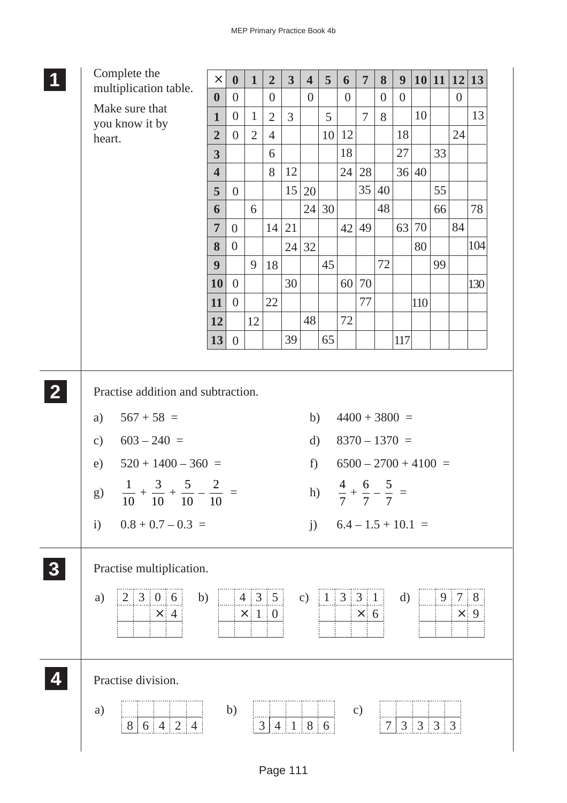| Complete the                                                                                                                                                                                                                                                            | $\times$                         | $\boldsymbol{0}$ | $\mathbf{1}$          | $\overline{2}$ | $\overline{\mathbf{3}}$  | $\overline{\mathbf{4}}$                 | 5            | 6                                                                                                                                                     | $\overline{7}$ | 8              | 9            | 10 11                    |                | 12             | $\vert$ 13      |
|-------------------------------------------------------------------------------------------------------------------------------------------------------------------------------------------------------------------------------------------------------------------------|----------------------------------|------------------|-----------------------|----------------|--------------------------|-----------------------------------------|--------------|-------------------------------------------------------------------------------------------------------------------------------------------------------|----------------|----------------|--------------|--------------------------|----------------|----------------|-----------------|
| multiplication table.                                                                                                                                                                                                                                                   | $\boldsymbol{0}$                 | $\overline{0}$   |                       | $\overline{0}$ |                          | $\boldsymbol{0}$                        |              | $\overline{0}$                                                                                                                                        |                | $\overline{0}$ | $\theta$     |                          |                | $\overline{0}$ |                 |
| Make sure that<br>you know it by                                                                                                                                                                                                                                        | $\mathbf{1}$                     | $\overline{0}$   | $\mathbf{1}$          | $\overline{2}$ | $\overline{3}$           |                                         | 5            |                                                                                                                                                       | $\overline{7}$ | 8              |              | 10                       |                |                | 13              |
| heart.                                                                                                                                                                                                                                                                  | $\overline{2}$                   | $\overline{0}$   | $\overline{2}$        | $\overline{4}$ |                          |                                         | 10           | 12                                                                                                                                                    |                |                | 18           |                          |                | 24             |                 |
|                                                                                                                                                                                                                                                                         | $\overline{\mathbf{3}}$          |                  |                       | 6              |                          |                                         |              | 18                                                                                                                                                    |                |                | 27           |                          | 33             |                |                 |
|                                                                                                                                                                                                                                                                         | $\overline{\mathbf{4}}$          |                  |                       | 8              | 12                       |                                         |              | 24                                                                                                                                                    | 28             |                |              | 36 40                    |                |                |                 |
|                                                                                                                                                                                                                                                                         | 5                                | $\overline{0}$   |                       |                | 15                       | 20                                      |              |                                                                                                                                                       | 35             | 40             |              |                          | 55             |                |                 |
|                                                                                                                                                                                                                                                                         | 6                                |                  | 6                     |                |                          | 24                                      | 30           |                                                                                                                                                       |                | 48             |              |                          | 66             |                | 78              |
|                                                                                                                                                                                                                                                                         | $\overline{7}$                   | $\overline{0}$   |                       | 14             | 21                       |                                         |              | 42                                                                                                                                                    | 49             |                | 63           | 70                       |                | 84             |                 |
|                                                                                                                                                                                                                                                                         | 8<br>9                           | $\theta$         | 9                     |                | 24                       | 32                                      | 45           |                                                                                                                                                       |                | 72             |              | 80                       | 99             |                | 104             |
|                                                                                                                                                                                                                                                                         | 10                               | $\overline{0}$   |                       | 18             | 30                       |                                         |              | 60                                                                                                                                                    | 70             |                |              |                          |                |                | 130             |
|                                                                                                                                                                                                                                                                         | 11                               | $\overline{0}$   |                       | 22             |                          |                                         |              |                                                                                                                                                       | 77             |                |              | 110                      |                |                |                 |
|                                                                                                                                                                                                                                                                         | 12                               |                  | 12                    |                |                          | 48                                      |              | 72                                                                                                                                                    |                |                |              |                          |                |                |                 |
|                                                                                                                                                                                                                                                                         | 13                               | $\overline{0}$   |                       |                | 39                       |                                         | 65           |                                                                                                                                                       |                |                | 117          |                          |                |                |                 |
|                                                                                                                                                                                                                                                                         |                                  |                  |                       |                |                          |                                         |              |                                                                                                                                                       |                |                |              |                          |                |                |                 |
| Practise addition and subtraction.<br>$567 + 58 =$<br>a)<br>$603 - 240 =$<br>$\mathbf{c})$<br>$520 + 1400 - 360 =$<br>e)<br>$\overline{5}$<br>$\mathfrak{Z}$<br>$\mathbf{1}$<br>g)<br>10<br>10<br>10<br>$0.8 + 0.7 - 0.3 =$<br>$\mathbf{i}$<br>Practise multiplication. | $\overline{2}$<br>$\frac{-}{10}$ |                  |                       |                |                          | b)<br>$\mathbf{d}$<br>$f$ )<br>h)<br>j) |              | $4400 + 3800 =$<br>$8370 - 1370 =$<br>$6500 - 2700 + 4100 =$<br>$\overline{4}$<br>$\frac{1}{7} + \frac{5}{7} - \frac{5}{7} =$<br>$6.4 - 1.5 + 10.1 =$ | 6              | 5              |              |                          |                |                |                 |
| 2 3 0 6<br>b)<br>a)<br>$\times$ 4                                                                                                                                                                                                                                       |                                  |                  | 4 3 5<br>$\times$ 1 0 |                |                          | $\mathbf{c})$                           | $\mathbf{1}$ | $3 \mid 3 \mid 1$                                                                                                                                     | $\times$ 6     |                | $\mathbf{d}$ |                          | 9 <sup>1</sup> | 7              | 8<br>$\times$ 9 |
| Practise division.                                                                                                                                                                                                                                                      |                                  |                  |                       |                |                          |                                         |              |                                                                                                                                                       |                |                |              |                          |                |                |                 |
| a)<br>$6 \mid 4 \mid 2 \mid 4$<br>8                                                                                                                                                                                                                                     |                                  | b)               |                       | $\mathfrak{Z}$ | $4 \mid 1 \mid 8 \mid 6$ |                                         |              |                                                                                                                                                       | $\mathbf{c})$  | $\overline{7}$ |              | $3 \mid 3 \mid 3 \mid 3$ |                |                |                 |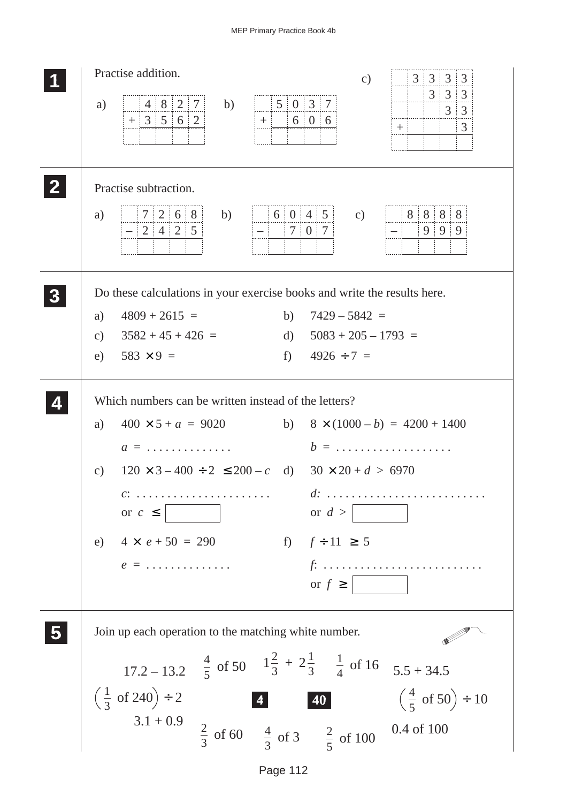| Practise addition.<br>$3 \mid 3 \mid 3 \mid 3$<br>$\mathbf{c})$                                                                                                                                                                                                                                                                                                                                                                                                                                                                                                                                                   |
|-------------------------------------------------------------------------------------------------------------------------------------------------------------------------------------------------------------------------------------------------------------------------------------------------------------------------------------------------------------------------------------------------------------------------------------------------------------------------------------------------------------------------------------------------------------------------------------------------------------------|
| $3 \mid 3 \mid 3$<br>5037<br> 4 8 2 7 <br>b)<br>a)<br> 3 3<br>$+3562$<br>606<br>$+$ :<br>$\mathfrak{Z}$<br>$+$                                                                                                                                                                                                                                                                                                                                                                                                                                                                                                    |
| Practise subtraction.<br>7 2 6 8<br>6 0 4 5<br>88888<br>b)<br>a)<br>$\mathbf{c})$<br>999<br>$-242$                                                                                                                                                                                                                                                                                                                                                                                                                                                                                                                |
| Do these calculations in your exercise books and write the results here.<br>$4809 + 2615 =$<br>b) $7429 - 5842 =$<br>a)<br>d) $5083 + 205 - 1793 =$<br>c) $3582 + 45 + 426 =$<br>e) $583 \times 9 =$<br>f) $4926 \div 7 =$                                                                                                                                                                                                                                                                                                                                                                                        |
| Which numbers can be written instead of the letters?<br>$400 \times 5 + a = 9020$ b) $8 \times (1000 - b) = 4200 + 1400$<br>a)<br>$b = \ldots \ldots \ldots \ldots \ldots \ldots$<br>$a = \ldots \ldots \ldots \ldots$<br>$120 \times 3 - 400 \div 2 \le 200 - c$ d) $30 \times 20 + d > 6970$<br>c)<br>$d: \ldots, \ldots, \ldots, \ldots,$<br>$c: \ldots \ldots \ldots \ldots \ldots \ldots \ldots$<br>or $c \leq$<br>or $d >$<br>e) $4 \times e + 50 = 290$<br>f) $f \div 11 \ge 5$<br>$e = \ldots \ldots \ldots \ldots$<br>$f: \ldots \ldots \ldots \ldots \ldots \ldots \ldots \ldots \ldots$<br>or $f \geq$ |
| Join up each operation to the matching white number.<br>17.2 - 13.2 $\frac{4}{5}$ of 50 $1\frac{2}{3} + 2\frac{1}{3}$ $\frac{1}{4}$ of 16 $5.5 + 34.5$<br>$\left(\frac{1}{3} \text{ of } 240\right) \div 2$<br>$\left(\frac{4}{5} \text{ of } 50\right) \div 10$<br>40<br>$3.1 + 0.9$<br>$\frac{2}{3}$ of 60 $\frac{4}{3}$ of 3 $\frac{2}{5}$ of 100<br>0.4 of 100                                                                                                                                                                                                                                                |

Page 112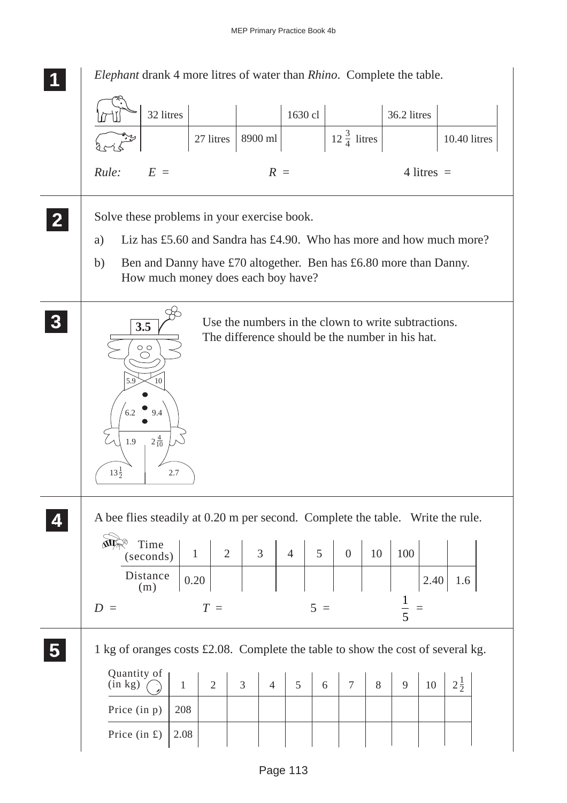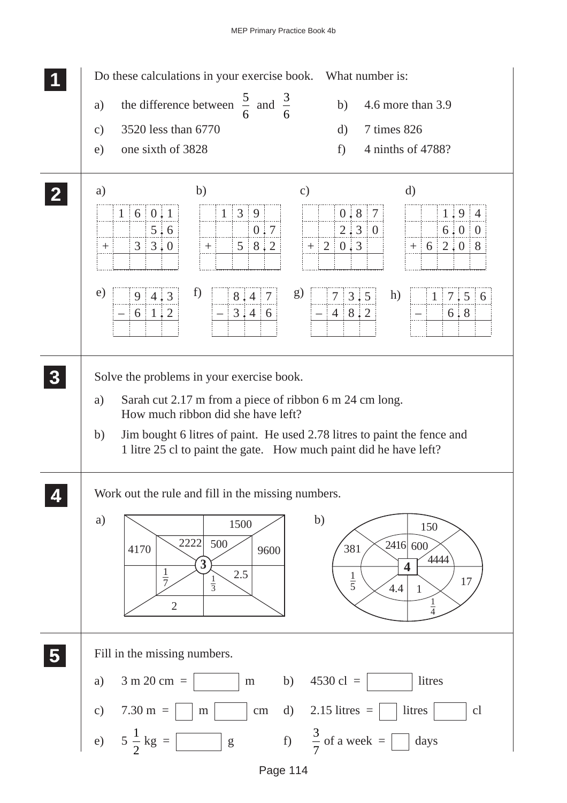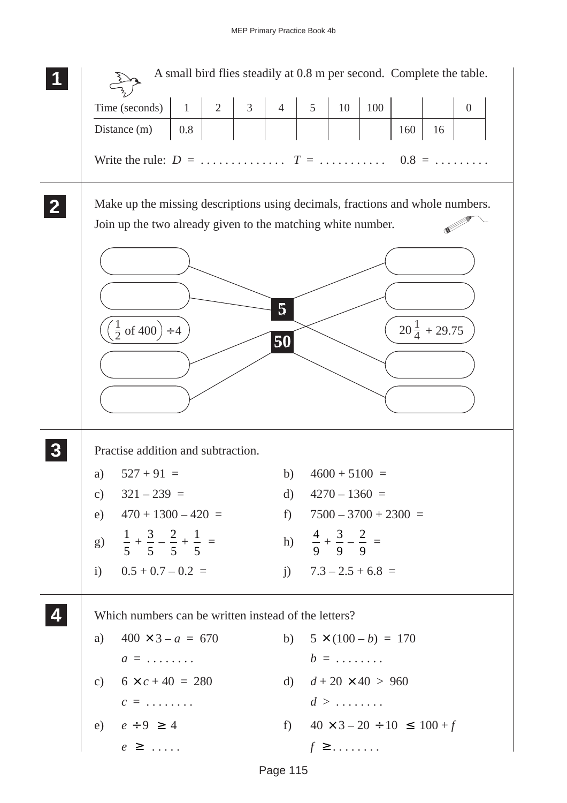|                                                                                                                      | A small bird flies steadily at 0.8 m per second. Complete the table. |          |                |                |                                                |     |     |                         |                  |
|----------------------------------------------------------------------------------------------------------------------|----------------------------------------------------------------------|----------|----------------|----------------|------------------------------------------------|-----|-----|-------------------------|------------------|
| Time (seconds)                                                                                                       | $\overline{2}$<br>$\mathbf{1}$                                       | $3 \mid$ | $\overline{4}$ | 5 <sup>5</sup> | 10                                             | 100 |     |                         | $\boldsymbol{0}$ |
| Distance (m)                                                                                                         | 0.8                                                                  |          |                |                |                                                |     | 160 | 16                      |                  |
| Write the rule: $D = \ldots \ldots \ldots \ldots$ $T = \ldots \ldots \ldots \ldots \ldots \quad 0.8 = \ldots \ldots$ |                                                                      |          |                |                |                                                |     |     |                         |                  |
| Make up the missing descriptions using decimals, fractions and whole numbers.                                        |                                                                      |          |                |                |                                                |     |     |                         |                  |
| Join up the two already given to the matching white number.                                                          |                                                                      |          |                |                |                                                |     |     |                         |                  |
|                                                                                                                      |                                                                      |          |                |                |                                                |     |     |                         |                  |
|                                                                                                                      |                                                                      |          |                |                |                                                |     |     |                         |                  |
|                                                                                                                      |                                                                      |          |                |                |                                                |     |     |                         |                  |
|                                                                                                                      |                                                                      |          | 5              |                |                                                |     |     | $20\frac{1}{4}$ + 29.75 |                  |
| $(\frac{1}{2}$ of 400) ÷ 4                                                                                           |                                                                      |          | 50             |                |                                                |     |     |                         |                  |
|                                                                                                                      |                                                                      |          |                |                |                                                |     |     |                         |                  |
|                                                                                                                      |                                                                      |          |                |                |                                                |     |     |                         |                  |
|                                                                                                                      |                                                                      |          |                |                |                                                |     |     |                         |                  |
| Practise addition and subtraction.                                                                                   |                                                                      |          |                |                |                                                |     |     |                         |                  |
| $527 + 91 =$<br>a)                                                                                                   |                                                                      |          | b)             |                | $4600 + 5100 =$                                |     |     |                         |                  |
| $321 - 239 =$<br>$\mathbf{c})$                                                                                       |                                                                      |          | $\rm d)$       |                | $4270 - 1360 =$                                |     |     |                         |                  |
| e) $470 + 1300 - 420 =$                                                                                              |                                                                      |          |                |                | f) $7500 - 3700 + 2300 =$                      |     |     |                         |                  |
| g) $\frac{1}{5} + \frac{3}{5} - \frac{2}{5} + \frac{1}{5} =$                                                         |                                                                      |          |                |                | h) $\frac{4}{9} + \frac{3}{9} - \frac{2}{9} =$ |     |     |                         |                  |
| i) $0.5 + 0.7 - 0.2 =$                                                                                               |                                                                      |          |                |                | j) $7.3 - 2.5 + 6.8 =$                         |     |     |                         |                  |
| Which numbers can be written instead of the letters?                                                                 |                                                                      |          |                |                |                                                |     |     |                         |                  |
| a)                                                                                                                   | $400 \times 3 - a = 670$                                             |          |                |                | b) $5 \times (100 - b) = 170$                  |     |     |                         |                  |
| $a = \ldots \ldots$                                                                                                  |                                                                      |          |                |                | $b = \ldots \ldots$                            |     |     |                         |                  |
| c) $6 \times c + 40 = 280$                                                                                           |                                                                      |          |                |                | d) $d + 20 \times 40 > 960$                    |     |     |                         |                  |
| $c = \ldots \ldots$                                                                                                  |                                                                      |          |                |                | $d > \ldots \ldots$                            |     |     |                         |                  |
| e) $e \div 9 \ge 4$                                                                                                  |                                                                      |          |                |                | f) $40 \times 3 - 20 \div 10 \le 100 + f$      |     |     |                         |                  |
| $e \geq \ldots$                                                                                                      |                                                                      |          |                |                | $f \geq \ldots \ldots$                         |     |     |                         |                  |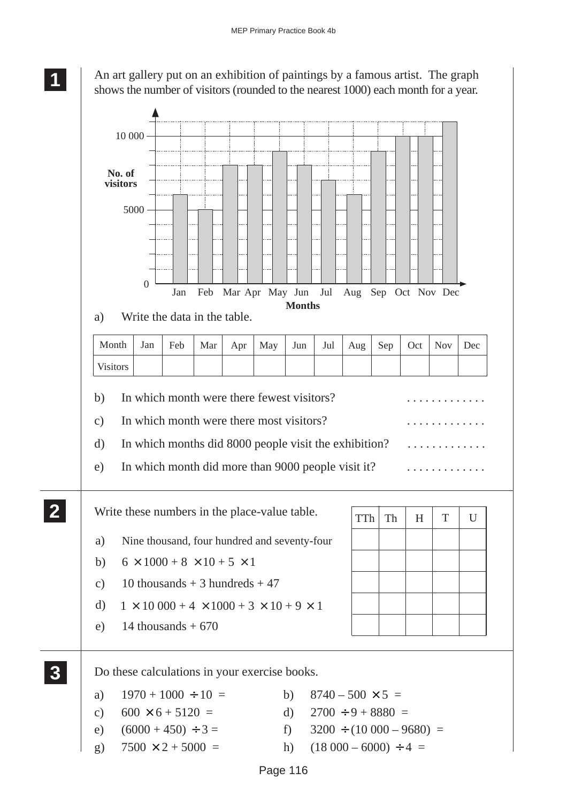

An art gallery put on an exhibition of paintings by a famous artist. The graph shows the number of visitors (rounded to the nearest 1000) each month for a year.

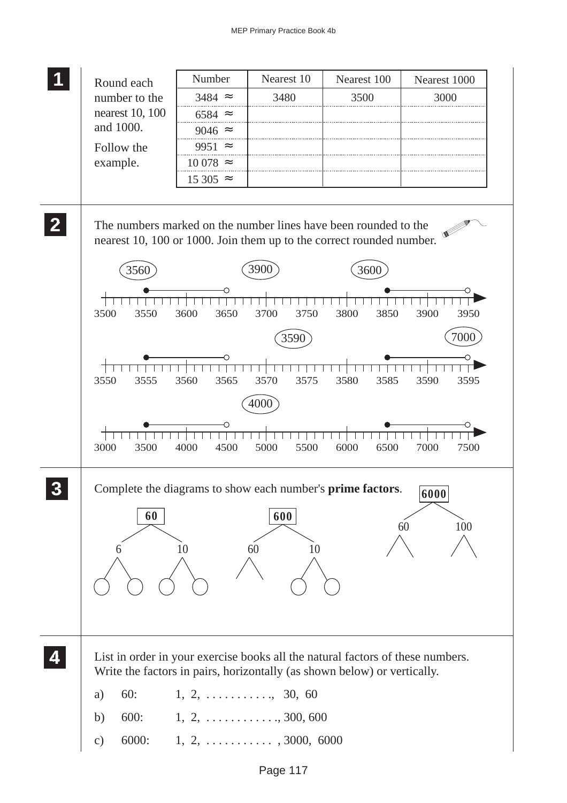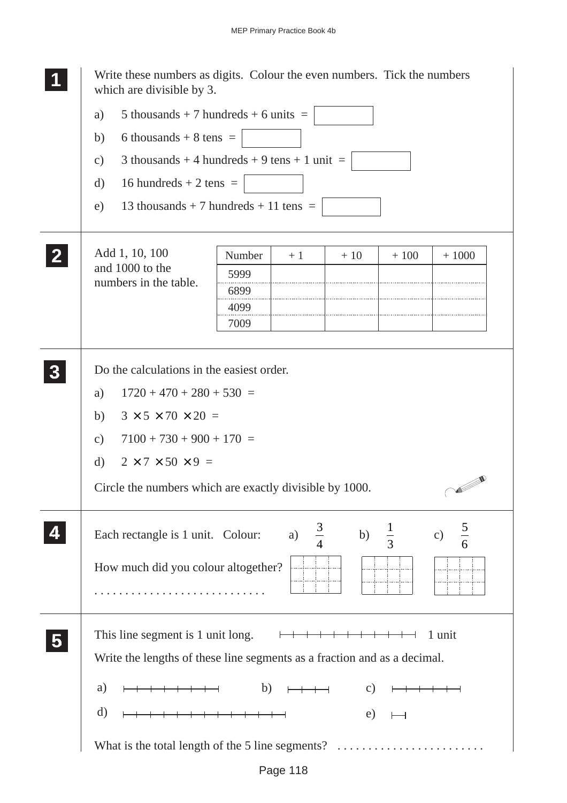|              | Write these numbers as digits. Colour the even numbers. Tick the numbers<br>which are divisible by 3.  |
|--------------|--------------------------------------------------------------------------------------------------------|
|              | 5 thousands + 7 hundreds + 6 units $=$<br>a)                                                           |
|              | 6 thousands + 8 tens $=$<br>b)                                                                         |
|              | 3 thousands + 4 hundreds + 9 tens + 1 unit =<br>$\mathcal{C}$ )                                        |
|              | 16 hundreds $+ 2$ tens $=$<br>d)                                                                       |
|              | 13 thousands + 7 hundreds + 11 tens =<br>e)                                                            |
|              |                                                                                                        |
| $\mathbf{2}$ | Add 1, 10, 100<br>Number<br>$+1000$<br>$+10$<br>$+100$<br>$+1$                                         |
|              | and 1000 to the<br>5999<br>numbers in the table.                                                       |
|              | 6899                                                                                                   |
|              | 4099<br>7009                                                                                           |
|              |                                                                                                        |
|              | Do the calculations in the easiest order.                                                              |
|              | $1720 + 470 + 280 + 530 =$<br>a)                                                                       |
|              | $3 \times 5 \times 70 \times 20 =$<br>b)                                                               |
|              | $7100 + 730 + 900 + 170 =$<br>$\mathbf{c})$                                                            |
|              | $2 \times 7 \times 50 \times 9 =$<br>$\mathbf{d}$                                                      |
|              | $\sim$<br>Circle the numbers which are exactly divisible by 1000.                                      |
|              | $\frac{5}{6}$<br>$\frac{3}{4}$<br>$\frac{1}{3}$<br>b)<br>a)<br>c)<br>Each rectangle is 1 unit. Colour: |
|              | How much did you colour altogether?                                                                    |
|              |                                                                                                        |
|              | This line segment is 1 unit long. $\longmapsto$<br>1 unit                                              |
|              | Write the lengths of these line segments as a fraction and as a decimal.                               |
|              | $\mathbf{b}$<br>a)<br>$+$ $+$ $ +$                                                                     |
|              | $\mathcal{C}$ )                                                                                        |
|              | d)<br>e)                                                                                               |
|              | What is the total length of the 5 line segments?                                                       |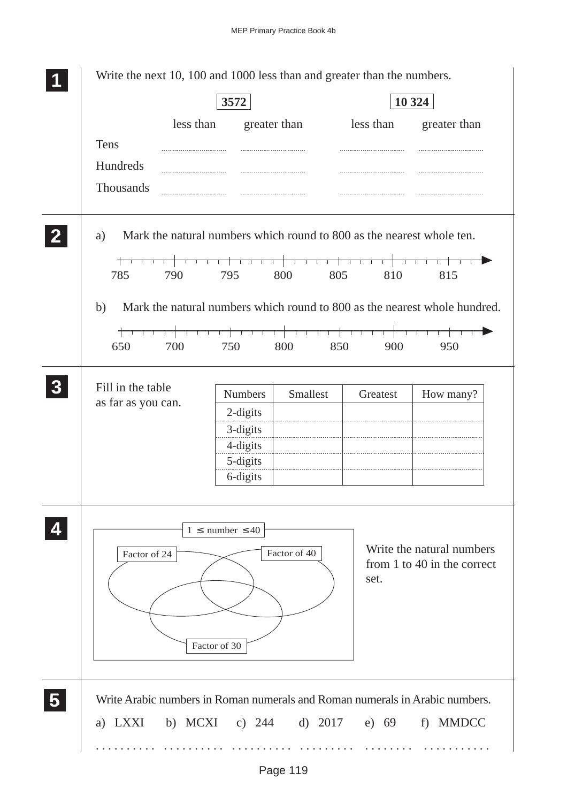| less than<br>greater than<br>less than<br>greater than<br>Tens<br>Hundreds<br>Thousands<br>Mark the natural numbers which round to 800 as the nearest whole ten.<br>a)<br>785<br>790<br>800<br>810<br>795<br>805<br>815<br>b)<br>╅╾┯<br>तत<br>650<br>700<br>750<br>800<br>850<br>900<br>950<br>Fill in the table<br>Smallest<br><b>Numbers</b><br>Greatest<br>as far as you can.<br>2-digits<br>3-digits<br>4-digits<br>5-digits<br>6-digits<br>$1 \leq$ number $\leq 40$<br>Factor of 40<br>Factor of 24<br>set.<br>Factor of 30<br>b) MCXI<br>c) $244$ d) $2017$<br>a) LXXI<br>e) 69 |  | 3572 |  | 10 324 |
|----------------------------------------------------------------------------------------------------------------------------------------------------------------------------------------------------------------------------------------------------------------------------------------------------------------------------------------------------------------------------------------------------------------------------------------------------------------------------------------------------------------------------------------------------------------------------------------|--|------|--|--------|
|                                                                                                                                                                                                                                                                                                                                                                                                                                                                                                                                                                                        |  |      |  |        |
|                                                                                                                                                                                                                                                                                                                                                                                                                                                                                                                                                                                        |  |      |  |        |
|                                                                                                                                                                                                                                                                                                                                                                                                                                                                                                                                                                                        |  |      |  |        |
|                                                                                                                                                                                                                                                                                                                                                                                                                                                                                                                                                                                        |  |      |  |        |
| Mark the natural numbers which round to 800 as the nearest whole hundred.<br>How many?<br>Write the natural numbers<br>from 1 to 40 in the correct<br>Write Arabic numbers in Roman numerals and Roman numerals in Arabic numbers.<br>f) MMDCC                                                                                                                                                                                                                                                                                                                                         |  |      |  |        |
|                                                                                                                                                                                                                                                                                                                                                                                                                                                                                                                                                                                        |  |      |  |        |
|                                                                                                                                                                                                                                                                                                                                                                                                                                                                                                                                                                                        |  |      |  |        |
|                                                                                                                                                                                                                                                                                                                                                                                                                                                                                                                                                                                        |  |      |  |        |
|                                                                                                                                                                                                                                                                                                                                                                                                                                                                                                                                                                                        |  |      |  |        |
|                                                                                                                                                                                                                                                                                                                                                                                                                                                                                                                                                                                        |  |      |  |        |
|                                                                                                                                                                                                                                                                                                                                                                                                                                                                                                                                                                                        |  |      |  |        |
|                                                                                                                                                                                                                                                                                                                                                                                                                                                                                                                                                                                        |  |      |  |        |
|                                                                                                                                                                                                                                                                                                                                                                                                                                                                                                                                                                                        |  |      |  |        |
|                                                                                                                                                                                                                                                                                                                                                                                                                                                                                                                                                                                        |  |      |  |        |
|                                                                                                                                                                                                                                                                                                                                                                                                                                                                                                                                                                                        |  |      |  |        |
|                                                                                                                                                                                                                                                                                                                                                                                                                                                                                                                                                                                        |  |      |  |        |
|                                                                                                                                                                                                                                                                                                                                                                                                                                                                                                                                                                                        |  |      |  |        |
|                                                                                                                                                                                                                                                                                                                                                                                                                                                                                                                                                                                        |  |      |  |        |
|                                                                                                                                                                                                                                                                                                                                                                                                                                                                                                                                                                                        |  |      |  |        |
|                                                                                                                                                                                                                                                                                                                                                                                                                                                                                                                                                                                        |  |      |  |        |
|                                                                                                                                                                                                                                                                                                                                                                                                                                                                                                                                                                                        |  |      |  |        |
|                                                                                                                                                                                                                                                                                                                                                                                                                                                                                                                                                                                        |  |      |  |        |
|                                                                                                                                                                                                                                                                                                                                                                                                                                                                                                                                                                                        |  |      |  |        |
|                                                                                                                                                                                                                                                                                                                                                                                                                                                                                                                                                                                        |  |      |  |        |
|                                                                                                                                                                                                                                                                                                                                                                                                                                                                                                                                                                                        |  |      |  |        |
|                                                                                                                                                                                                                                                                                                                                                                                                                                                                                                                                                                                        |  |      |  |        |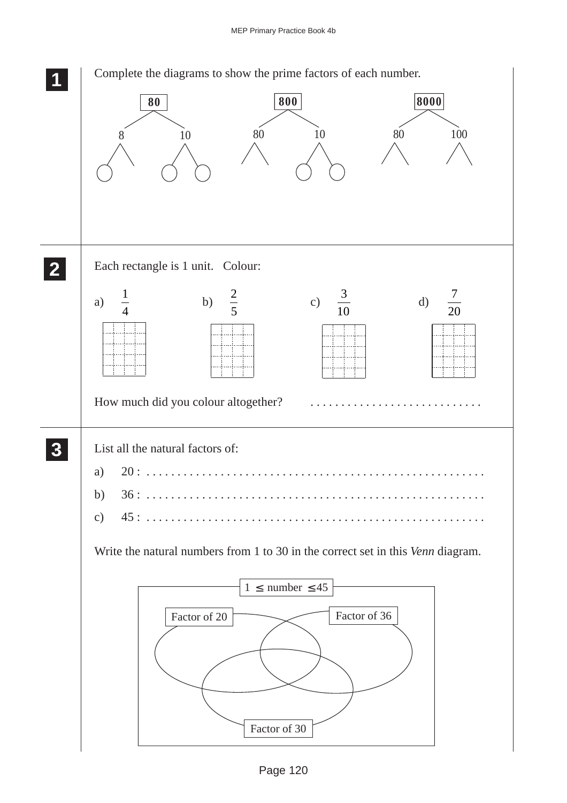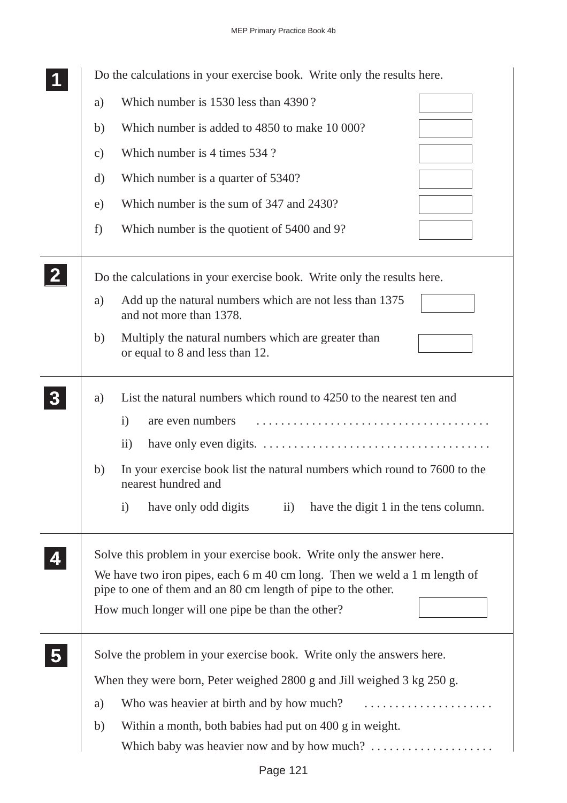|              |               | Do the calculations in your exercise book. Write only the results here.                                                                                                                                             |
|--------------|---------------|---------------------------------------------------------------------------------------------------------------------------------------------------------------------------------------------------------------------|
|              | a)            | Which number is 1530 less than 4390?                                                                                                                                                                                |
|              | b)            | Which number is added to 4850 to make 10 000?                                                                                                                                                                       |
|              | $\mathbf{c})$ | Which number is 4 times 534 ?                                                                                                                                                                                       |
|              | d)            | Which number is a quarter of 5340?                                                                                                                                                                                  |
|              | e)            | Which number is the sum of 347 and 2430?                                                                                                                                                                            |
|              | f)            | Which number is the quotient of 5400 and 9?                                                                                                                                                                         |
| $\mathbf{2}$ |               | Do the calculations in your exercise book. Write only the results here.                                                                                                                                             |
|              | a)            | Add up the natural numbers which are not less than 1375<br>and not more than 1378.                                                                                                                                  |
|              | b)            | Multiply the natural numbers which are greater than<br>or equal to 8 and less than 12.                                                                                                                              |
|              | a)            | List the natural numbers which round to 4250 to the nearest ten and<br>$\mathbf{i}$<br>are even numbers                                                                                                             |
|              |               | $\mathbf{ii}$                                                                                                                                                                                                       |
|              | b)            | In your exercise book list the natural numbers which round to 7600 to the<br>nearest hundred and                                                                                                                    |
|              |               | have only odd digits<br>$\mathbf{i}$<br>$\mathbf{ii}$<br>have the digit 1 in the tens column.                                                                                                                       |
|              |               | Solve this problem in your exercise book. Write only the answer here.<br>We have two iron pipes, each 6 m 40 cm long. Then we weld a 1 m length of<br>pipe to one of them and an 80 cm length of pipe to the other. |
|              |               | How much longer will one pipe be than the other?                                                                                                                                                                    |
|              |               | Solve the problem in your exercise book. Write only the answers here.                                                                                                                                               |
|              |               | When they were born, Peter weighed 2800 g and Jill weighed 3 kg 250 g.                                                                                                                                              |
|              | a)            | Who was heavier at birth and by how much?                                                                                                                                                                           |
|              | b)            | Within a month, both babies had put on 400 g in weight.                                                                                                                                                             |
|              |               | Which baby was heavier now and by how much?                                                                                                                                                                         |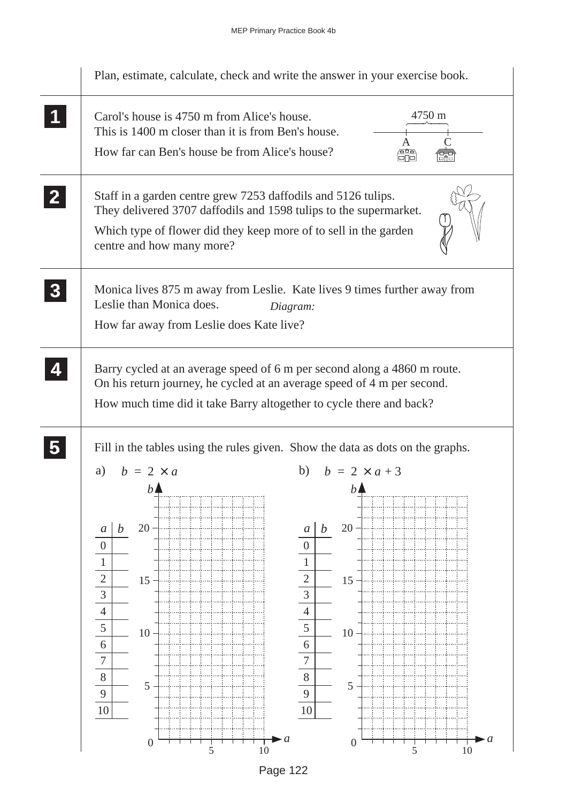

Page 122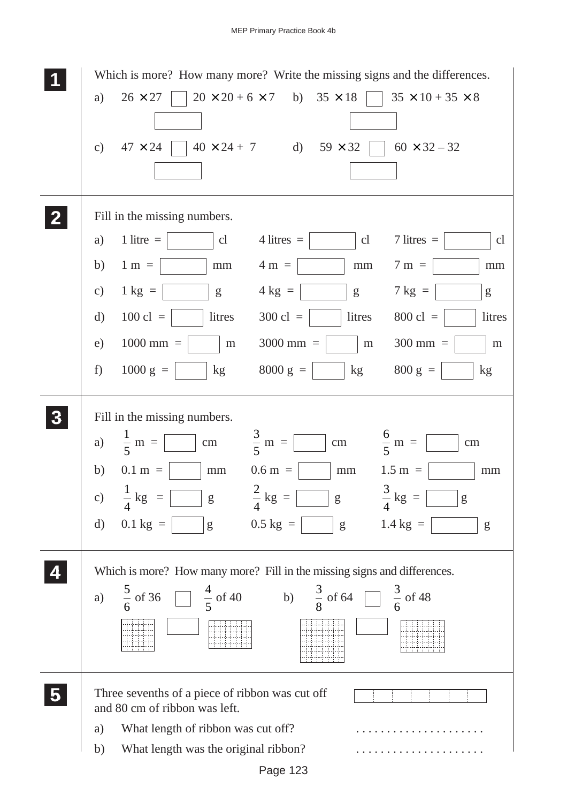|                  | Which is more? How many more? Write the missing signs and the differences.                                                                                                                                                                                                                                                                                                                                                                                                                                           |
|------------------|----------------------------------------------------------------------------------------------------------------------------------------------------------------------------------------------------------------------------------------------------------------------------------------------------------------------------------------------------------------------------------------------------------------------------------------------------------------------------------------------------------------------|
|                  | $20 \times 20 + 6 \times 7$ b) $35 \times 18$<br>$26 \times 27$<br>$35 \times 10 + 35 \times 8$<br>a)                                                                                                                                                                                                                                                                                                                                                                                                                |
|                  |                                                                                                                                                                                                                                                                                                                                                                                                                                                                                                                      |
|                  | $40 \times 24 + 7$ d)<br>$59 \times 32$<br>$60 \times 32 - 32$<br>$47 \times 24$<br>c)                                                                                                                                                                                                                                                                                                                                                                                                                               |
|                  |                                                                                                                                                                                                                                                                                                                                                                                                                                                                                                                      |
|                  |                                                                                                                                                                                                                                                                                                                                                                                                                                                                                                                      |
|                  | Fill in the missing numbers.                                                                                                                                                                                                                                                                                                                                                                                                                                                                                         |
|                  | 1 litre $=$<br>$7$ litres $=$<br>cl<br>$4$ litres $=$<br>a)<br>cl<br>cl                                                                                                                                                                                                                                                                                                                                                                                                                                              |
|                  | $4 \text{ m} =$<br>$1 \text{ m} =$<br>$7 \text{ m} =$<br>b)<br>mm<br>mm<br>$\rm mm$                                                                                                                                                                                                                                                                                                                                                                                                                                  |
|                  | $4 \text{ kg} =$<br>$1 \text{ kg} =$<br>$7 \text{ kg} =$<br>$\mathbf{c})$<br>g<br>g<br>g                                                                                                                                                                                                                                                                                                                                                                                                                             |
|                  | $100$ cl =<br>litres<br>$300 \text{ cl } =$<br>litres<br>$800 \text{ cl } =$<br>litres<br>$\rm d)$                                                                                                                                                                                                                                                                                                                                                                                                                   |
|                  | $1000$ mm $=$<br>$3000$ mm =<br>$300$ mm =<br>e)<br>${\rm m}$<br>${\rm m}$<br>${\rm m}$                                                                                                                                                                                                                                                                                                                                                                                                                              |
|                  | $1000 g =$<br>8000 $g =$<br>$800 \text{ g} =$<br>kg<br>kg<br>f)<br>kg                                                                                                                                                                                                                                                                                                                                                                                                                                                |
|                  |                                                                                                                                                                                                                                                                                                                                                                                                                                                                                                                      |
| $\boldsymbol{3}$ | Fill in the missing numbers.                                                                                                                                                                                                                                                                                                                                                                                                                                                                                         |
|                  | $rac{3}{5}$ m = [<br>$\frac{6}{5}$ m =<br>$\frac{1}{5}$ m = $\left[$<br>a)<br>cm<br>cm<br>$\rm cm$                                                                                                                                                                                                                                                                                                                                                                                                                   |
|                  | $0.1 m =$<br>$0.6 m =$<br>b)<br>$1.5 m =$<br>$\rm mm$<br>mm<br>$\rm mm$                                                                                                                                                                                                                                                                                                                                                                                                                                              |
|                  | $\frac{2}{4}$ kg =<br>$\frac{3}{4}$ kg =<br>$\frac{1}{4}$ kg                                                                                                                                                                                                                                                                                                                                                                                                                                                         |
|                  | $\mathbf{c})$<br>g<br>g<br>g                                                                                                                                                                                                                                                                                                                                                                                                                                                                                         |
|                  | $0.5 \text{ kg}$ =<br>$1.4 \text{ kg} =$<br>$0.1 \text{ kg} =$<br>d)<br>$g\,$<br>$\mathbf{g}% _{T}=\mathbf{g}_{T}=\mathbf{g}_{T}=\mathbf{g}_{T}=\mathbf{g}_{T}=\mathbf{g}_{T}=\mathbf{g}_{T}=\mathbf{g}_{T}=\mathbf{g}_{T}=\mathbf{g}_{T}=\mathbf{g}_{T}=\mathbf{g}_{T}=\mathbf{g}_{T}=\mathbf{g}_{T}=\mathbf{g}_{T}=\mathbf{g}_{T}=\mathbf{g}_{T}=\mathbf{g}_{T}=\mathbf{g}_{T}=\mathbf{g}_{T}=\mathbf{g}_{T}=\mathbf{g}_{T}=\mathbf{g}_{T}=\mathbf{g}_{T}=\mathbf{g}_{T}=\mathbf{g}_{T}=\mathbf{g}_{T}=\math$<br>g |
|                  |                                                                                                                                                                                                                                                                                                                                                                                                                                                                                                                      |
|                  | Which is more? How many more? Fill in the missing signs and differences.                                                                                                                                                                                                                                                                                                                                                                                                                                             |
|                  | $\frac{4}{5}$ of 40 b) $\frac{3}{8}$ of 64<br>$\frac{3}{6}$ of 48<br>$\frac{5}{6}$ of 36<br>a)                                                                                                                                                                                                                                                                                                                                                                                                                       |
|                  |                                                                                                                                                                                                                                                                                                                                                                                                                                                                                                                      |
|                  |                                                                                                                                                                                                                                                                                                                                                                                                                                                                                                                      |
|                  |                                                                                                                                                                                                                                                                                                                                                                                                                                                                                                                      |
|                  | Three sevenths of a piece of ribbon was cut off<br>and 80 cm of ribbon was left.                                                                                                                                                                                                                                                                                                                                                                                                                                     |
|                  | What length of ribbon was cut off?<br>a)                                                                                                                                                                                                                                                                                                                                                                                                                                                                             |
|                  | What length was the original ribbon?<br>b)                                                                                                                                                                                                                                                                                                                                                                                                                                                                           |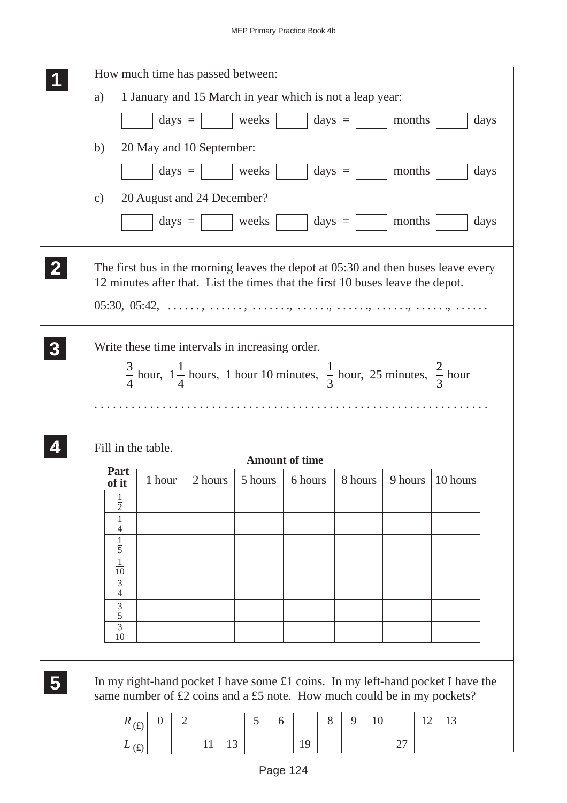|   | a)                                               |                | How much time has passed between:<br>1 January and 15 March in year which is not a leap year:                                                                       |         |                                  |                 |                   |    |         |    |          |      |  |
|---|--------------------------------------------------|----------------|---------------------------------------------------------------------------------------------------------------------------------------------------------------------|---------|----------------------------------|-----------------|-------------------|----|---------|----|----------|------|--|
|   |                                                  |                | $\text{days} =$                                                                                                                                                     | weeks   |                                  | $days =$        |                   |    | months  |    |          | days |  |
|   | b)<br>$\mathbf{c})$                              |                | 20 May and 10 September:<br>$\text{days} =  $ weeks<br>20 August and 24 December?                                                                                   |         |                                  |                 | $\text{days} =  $ |    | months  |    |          | days |  |
|   |                                                  |                | $\text{days} =$                                                                                                                                                     | weeks   |                                  | $\text{days} =$ |                   |    | months  |    |          | days |  |
|   |                                                  |                | The first bus in the morning leaves the depot at 05:30 and then buses leave every<br>12 minutes after that. List the times that the first 10 buses leave the depot. |         |                                  |                 |                   |    |         |    |          |      |  |
|   |                                                  |                | Write these time intervals in increasing order.<br>$\frac{3}{4}$ hour, $1\frac{1}{4}$ hours, 1 hour 10 minutes, $\frac{1}{3}$ hour, 25 minutes, $\frac{2}{3}$ hour  |         |                                  |                 |                   |    |         |    |          |      |  |
|   |                                                  |                |                                                                                                                                                                     |         |                                  |                 |                   |    |         |    |          |      |  |
|   | Fill in the table.                               |                |                                                                                                                                                                     |         |                                  |                 |                   |    |         |    |          |      |  |
|   | Part<br>of it                                    | 1 hour         | 2 hours                                                                                                                                                             | 5 hours | <b>Amount of time</b><br>6 hours |                 | 8 hours           |    | 9 hours |    | 10 hours |      |  |
|   | $\frac{1}{2}$                                    |                |                                                                                                                                                                     |         |                                  |                 |                   |    |         |    |          |      |  |
|   | $\frac{1}{4}$                                    |                |                                                                                                                                                                     |         |                                  |                 |                   |    |         |    |          |      |  |
|   | $\frac{1}{5}$                                    |                |                                                                                                                                                                     |         |                                  |                 |                   |    |         |    |          |      |  |
|   | $\frac{1}{10}$                                   |                |                                                                                                                                                                     |         |                                  |                 |                   |    |         |    |          |      |  |
|   | $\frac{3}{4}$                                    |                |                                                                                                                                                                     |         |                                  |                 |                   |    |         |    |          |      |  |
|   | $rac{3}{5}$<br>$\frac{3}{10}$                    |                |                                                                                                                                                                     |         |                                  |                 |                   |    |         |    |          |      |  |
| 5 |                                                  |                | In my right-hand pocket I have some $£1$ coins. In my left-hand pocket I have the<br>same number of £2 coins and a £5 note. How much could be in my pockets?        |         |                                  |                 |                   |    |         |    |          |      |  |
|   | $R_{\,(\textbf{\textit{f}}\textbf{\textit{t}})}$ | $\overline{0}$ | $\overline{2}$                                                                                                                                                      | 5       | 6                                | 8               | 9                 | 10 |         | 12 | 13       |      |  |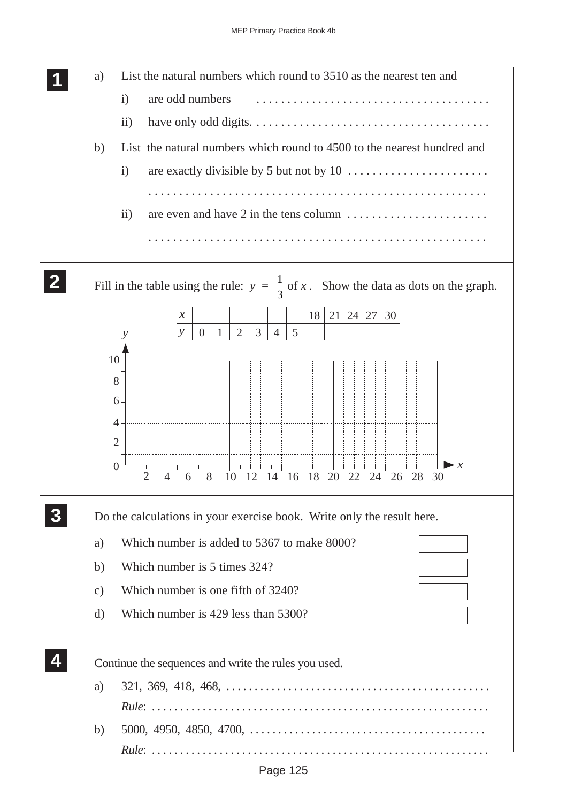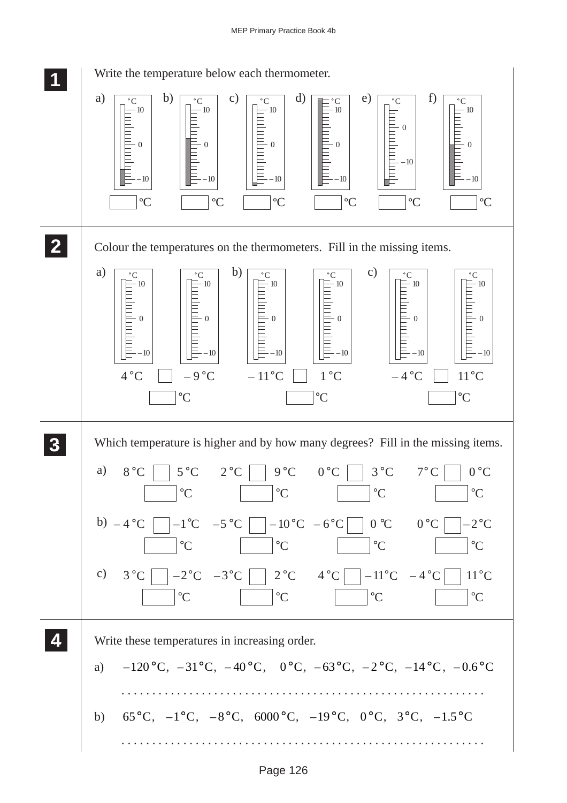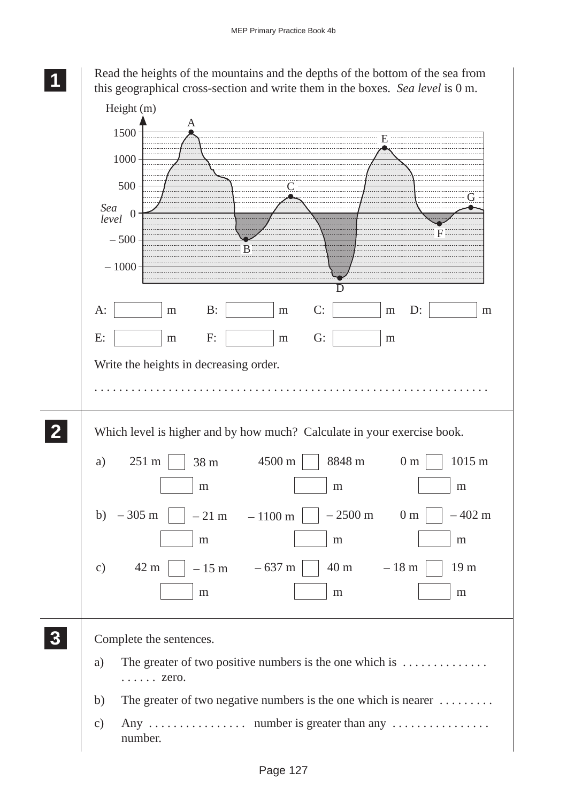Read the heights of the mountains and the depths of the bottom of the sea from this geographical cross-section and write them in the boxes. *Sea level* is 0 m.

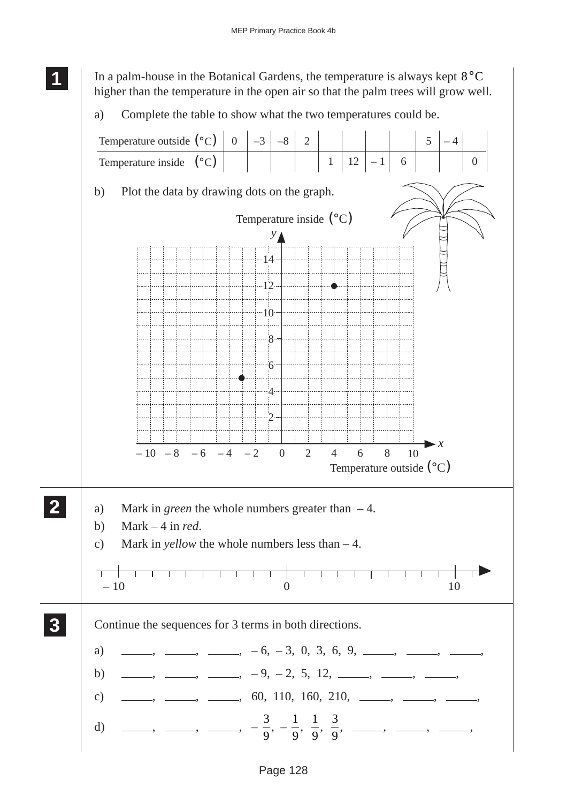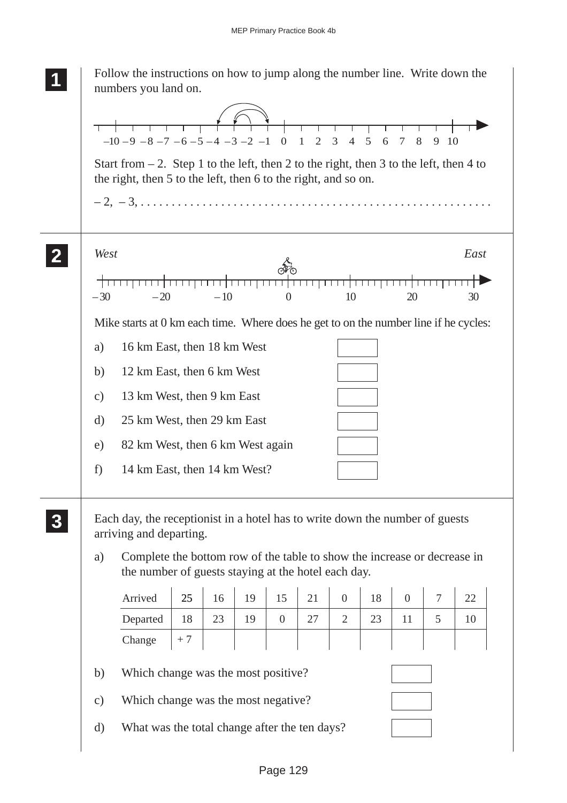|               | Follow the instructions on how to jump along the number line. Write down the<br>numbers you land on.                                                       |      |                 |    |                |    |                |    |                  |                |      |
|---------------|------------------------------------------------------------------------------------------------------------------------------------------------------------|------|-----------------|----|----------------|----|----------------|----|------------------|----------------|------|
|               | $-10-9$ $-8$ $-7$ $-6$ $-5$ $-4$ $-3$ $-2$ $-1$ 0 1 2 3 4 5 6 7                                                                                            |      |                 |    |                |    |                |    | 8                | 9 10           |      |
|               | Start from $-2$ . Step 1 to the left, then 2 to the right, then 3 to the left, then 4 to<br>the right, then 5 to the left, then 6 to the right, and so on. |      |                 |    |                |    |                |    |                  |                |      |
|               |                                                                                                                                                            |      |                 |    |                |    |                |    |                  |                |      |
|               | West                                                                                                                                                       |      |                 |    |                |    |                |    |                  |                | East |
|               | $-20$<br>$-30$                                                                                                                                             |      | गा गा।<br>$-10$ |    | $\theta$       |    | 10             |    | 20               |                | 30   |
|               | Mike starts at 0 km each time. Where does he get to on the number line if he cycles:                                                                       |      |                 |    |                |    |                |    |                  |                |      |
|               | 16 km East, then 18 km West<br>a)                                                                                                                          |      |                 |    |                |    |                |    |                  |                |      |
|               | 12 km East, then 6 km West<br>b)                                                                                                                           |      |                 |    |                |    |                |    |                  |                |      |
| $\mathbf{c})$ | 13 km West, then 9 km East                                                                                                                                 |      |                 |    |                |    |                |    |                  |                |      |
|               | 25 km West, then 29 km East<br>d)                                                                                                                          |      |                 |    |                |    |                |    |                  |                |      |
| e)            | 82 km West, then 6 km West again                                                                                                                           |      |                 |    |                |    |                |    |                  |                |      |
| f)            | 14 km East, then 14 km West?                                                                                                                               |      |                 |    |                |    |                |    |                  |                |      |
|               | Each day, the receptionist in a hotel has to write down the number of guests<br>arriving and departing.                                                    |      |                 |    |                |    |                |    |                  |                |      |
| a)            | Complete the bottom row of the table to show the increase or decrease in<br>the number of guests staying at the hotel each day.                            |      |                 |    |                |    |                |    |                  |                |      |
|               | Arrived                                                                                                                                                    | 25   | 16              | 19 | 15             | 21 | $\overline{0}$ | 18 | $\boldsymbol{0}$ | $\overline{7}$ | 22   |
|               | Departed                                                                                                                                                   | 18   | 23              | 19 | $\overline{0}$ | 27 | $\overline{2}$ | 23 | 11               | 5              | 10   |
|               | Change                                                                                                                                                     | $+7$ |                 |    |                |    |                |    |                  |                |      |
|               | b)<br>Which change was the most positive?                                                                                                                  |      |                 |    |                |    |                |    |                  |                |      |
|               | Which change was the most negative?<br>$\mathbf{c})$                                                                                                       |      |                 |    |                |    |                |    |                  |                |      |
|               |                                                                                                                                                            |      |                 |    |                |    |                |    |                  |                |      |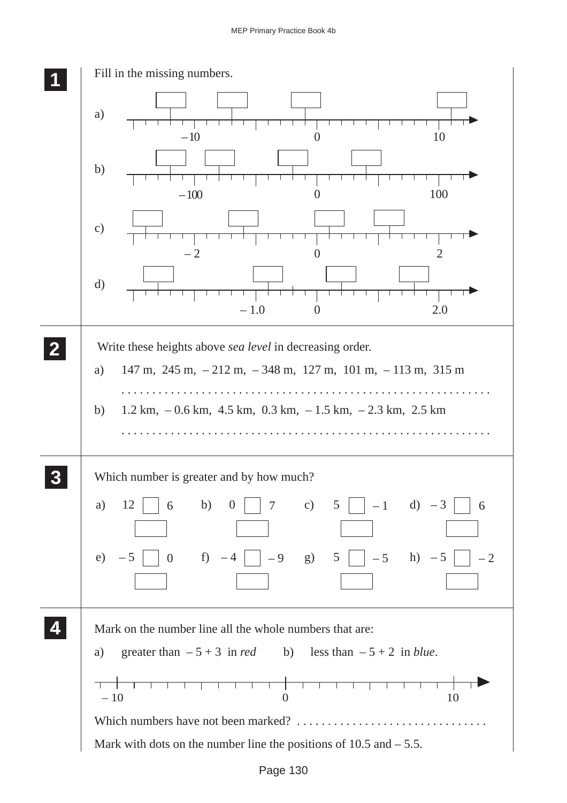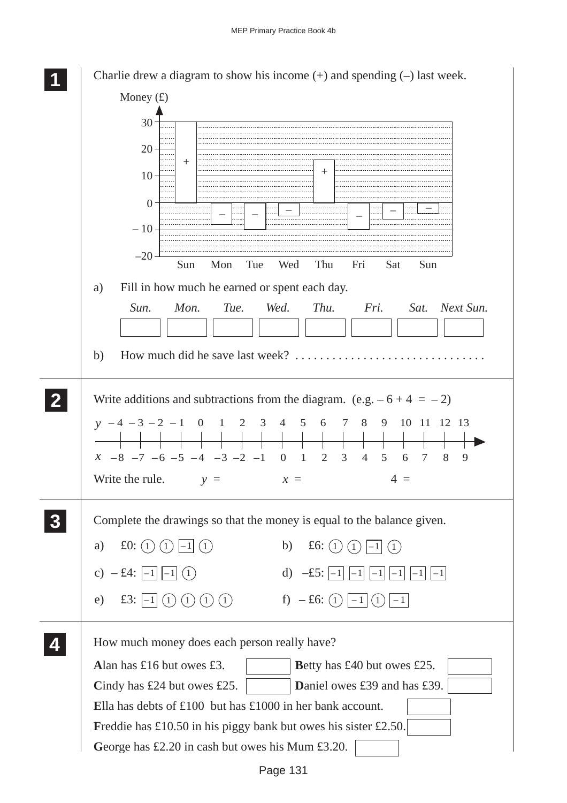| Charlie drew a diagram to show his income $(+)$ and spending $(-)$ last week.                                                                                                                                                                                      |
|--------------------------------------------------------------------------------------------------------------------------------------------------------------------------------------------------------------------------------------------------------------------|
| Money $(f)$                                                                                                                                                                                                                                                        |
| 30<br>$20 -$<br>$^{+}$<br>$10 -$                                                                                                                                                                                                                                   |
| $\Omega$<br>$-10-$                                                                                                                                                                                                                                                 |
| $-20$<br>Sun<br>Mon<br>Tue<br>Wed<br>Sun<br>Thu<br>Fri<br>Sat                                                                                                                                                                                                      |
| Fill in how much he earned or spent each day.<br>a)<br>Mon.<br>Tue. Wed.<br>Thu.<br>Sun.<br>Fri.<br>Sat.<br>Next Sun.<br>b)                                                                                                                                        |
|                                                                                                                                                                                                                                                                    |
| Write additions and subtractions from the diagram. (e.g. $-6 + 4 = -2$ )<br>$y - 4 - 3 - 2 - 1$ 0 1 2 3 4 5 6 7 8 9 10 11 12 13<br>$x -8$ -7 -6 -5 -4 -3 -2 -1 0 1 2<br>8<br>3<br>$\overline{4}$<br>5<br>7<br>9<br>6<br>Write the rule.<br>$4 =$<br>$y =$<br>$x =$ |
| Complete the drawings so that the money is equal to the balance given.<br>£0: $(1)$<br>b)<br>£6: $(1)$<br>a)<br>$\left(1\right)$<br>(1)                                                                                                                            |
| $-£4:$<br>d) $-\pounds 5$ :<br>$\mathbf{c})$<br>(1)<br>$-1$<br>$ -1 $<br>$-1$<br>f) $-£6$ : (1)<br>$\pounds 3$ :<br>(1)<br>e)<br>(1)<br>(1)<br>$ -1 $<br>(1)<br>(1)                                                                                                |
| How much money does each person really have?<br>Alan has £16 but owes £3.<br>Betty has £40 but owes £25.<br>Cindy has $£24$ but owes £25.<br>Daniel owes £39 and has £39.                                                                                          |
| Ella has debts of $£100$ but has $£1000$ in her bank account.                                                                                                                                                                                                      |
| Freddie has £10.50 in his piggy bank but owes his sister £2.50.                                                                                                                                                                                                    |
| George has £2.20 in cash but owes his Mum £3.20.                                                                                                                                                                                                                   |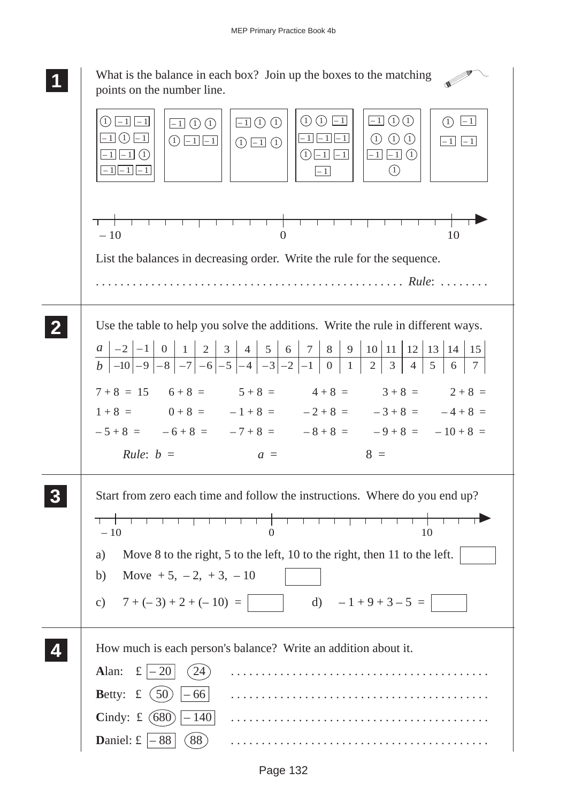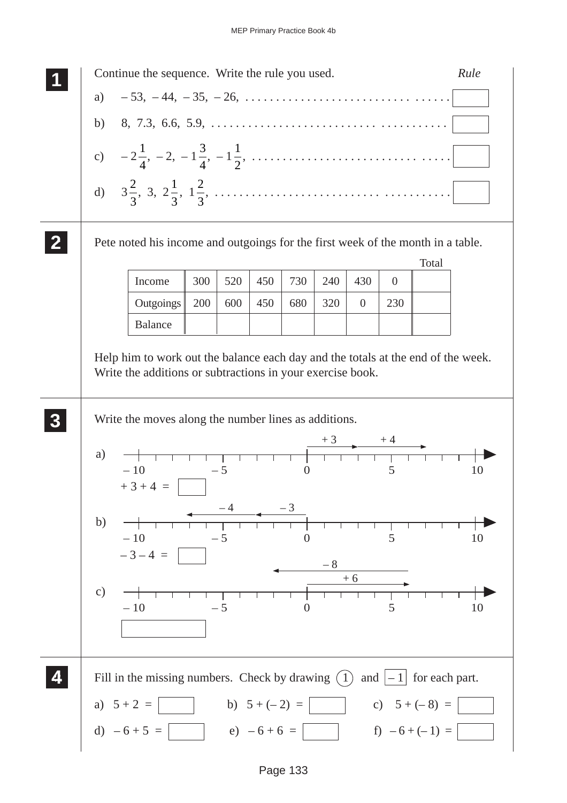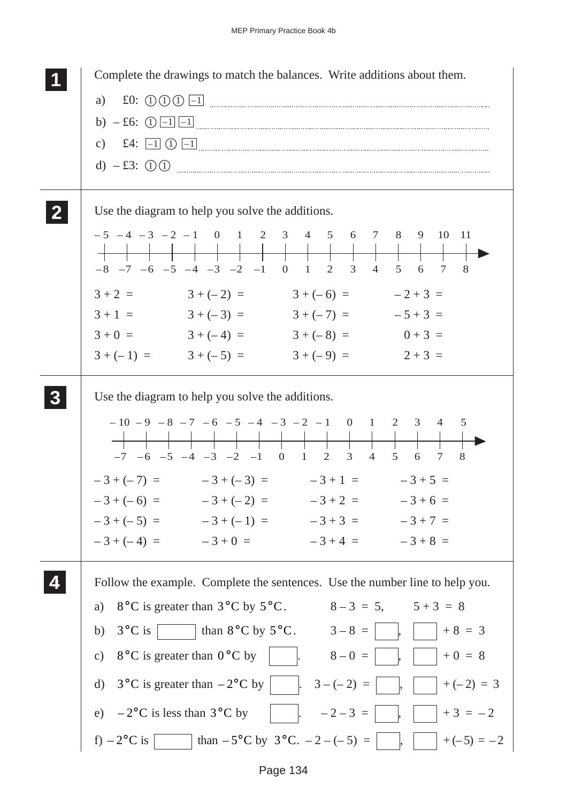| Complete the drawings to match the balances. Write additions about them.                                                        |
|---------------------------------------------------------------------------------------------------------------------------------|
| f0: 00011<br>a)                                                                                                                 |
| b) $- £6$ : (1) $-1$ $-1$                                                                                                       |
| c) £4: $\boxed{-1}$ (1) $\boxed{-1}$                                                                                            |
| d) $-£3$ : ① ①                                                                                                                  |
| Use the diagram to help you solve the additions.                                                                                |
| $-5$ $-4$ $-3$ $-2$ $-1$ 0 1 2 3 4 5 6 7 8 9 10 11<br>$-8$ $-7$ $-6$ $-5$ $-4$ $-3$ $-2$ $-1$ 0 1 2 3<br>4 5 6 7<br>$\sim$ 8    |
| $3 + (-2) =$ $3 + (-6) =$ $-2 + 3 =$<br>$3 + 2 =$                                                                               |
| $3+1 = 3+(-3) = 3+(-7) = -5+3 =$                                                                                                |
| $3+0 = 3+(-4) = 3+(-8) = 0+3 = 0$                                                                                               |
| $3 + (-1) =$ $3 + (-5) =$<br>$3 + (-9) = 2 + 3 = 1$                                                                             |
| Use the diagram to help you solve the additions.                                                                                |
| $-10$ $-9$ $-8$ $-7$ $-6$ $-5$ $-4$ $-3$ $-2$ $-1$ 0 1 2 3 4<br>5<br>$-7$ $-6$ $-5$ $-4$ $-3$ $-2$ $-1$ 0 1 2 3 4 5<br>8<br>6 7 |
| $-3+(-7) = -3+(-3) = -3+1 = -3+5 =$                                                                                             |
| $-3+(-6) = -3+(-2) = -3+2 = -3+6 =$                                                                                             |
| $-3+(-5) = -3+(-1) = -3+3 = -3+7 =$                                                                                             |
| $-3 + (-4) = -3 + 0 = -3 + 4 = -3 + 8 =$                                                                                        |
| Follow the example. Complete the sentences. Use the number line to help you.                                                    |
| $8-3 = 5$ , $5+3 = 8$<br>a) $8^{\circ}$ C is greater than $3^{\circ}$ C by $5^{\circ}$ C.                                       |
| b) $3^{\circ}C$ is than $8^{\circ}C$ by $5^{\circ}C$ . $3-8=$    <br>$ $ +8 = 3                                                 |
| c) $8^{\circ}$ C is greater than $0^{\circ}$ C by<br>$+0 = 8$<br>$8 - 0 =$                                                      |
| d) $3^{\circ}$ C is greater than $-2^{\circ}$ C by     3 $-(-2) =$<br>$+(-2) = 3$                                               |
|                                                                                                                                 |
| e) $-2$ °C is less than $3$ °C by<br>$-2-3 =$<br>$+3 = -2$                                                                      |
| than $-5^{\circ}$ C by $3^{\circ}$ C. $-2-(-5) =$<br>f) $-2$ °C is<br>$\vert +(-5) = -2$                                        |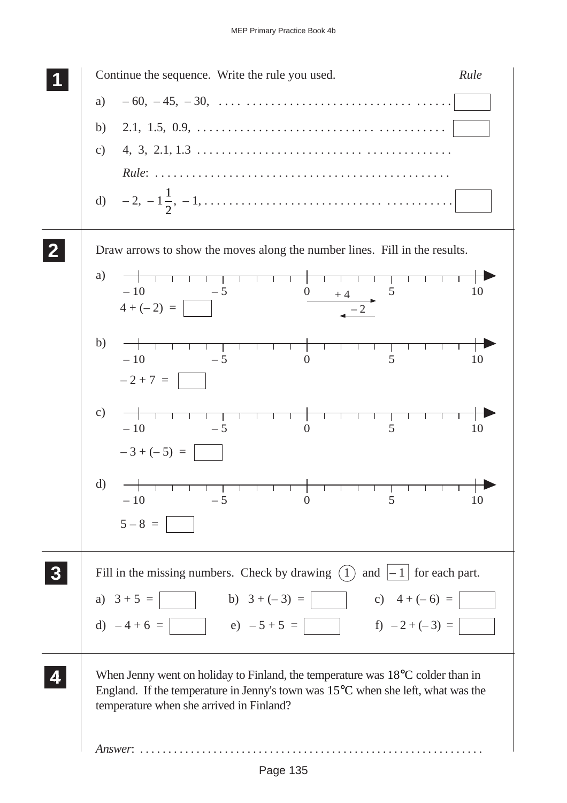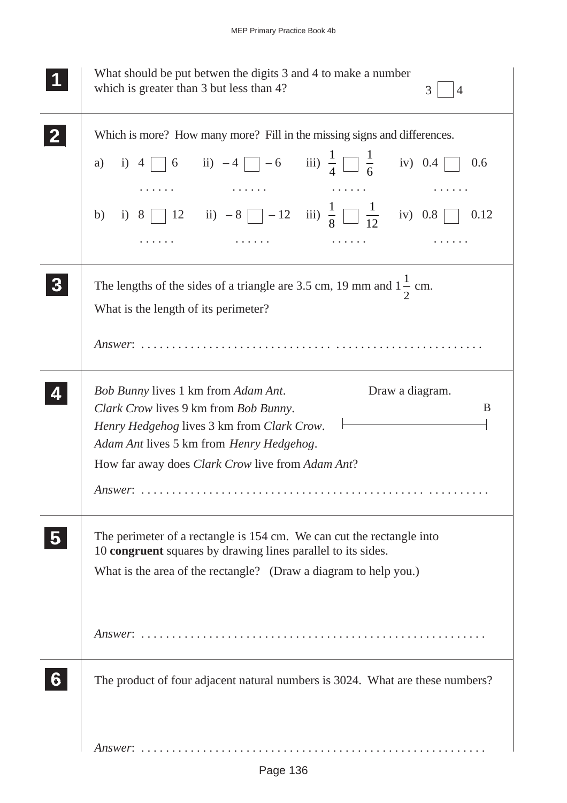| What should be put betwen the digits 3 and 4 to make a number<br>which is greater than 3 but less than 4?<br>3<br>$\overline{4}$                                                                                                                                                             |
|----------------------------------------------------------------------------------------------------------------------------------------------------------------------------------------------------------------------------------------------------------------------------------------------|
| Which is more? How many more? Fill in the missing signs and differences.<br>a) i) 4 $\[\] 6$ ii) -4 $\[\] -6$ iii) $\frac{1}{4} \[\] \frac{1}{6}$ iv) 0.4 $\[\]$<br>0.6                                                                                                                      |
| b) i) 8 12 ii) $-8$ -12 iii) $\frac{1}{8}$ $\frac{1}{12}$ iv) 0.8 0 0.12                                                                                                                                                                                                                     |
| The lengths of the sides of a triangle are 3.5 cm, 19 mm and $1\frac{1}{2}$ cm.<br>What is the length of its perimeter?                                                                                                                                                                      |
| <b>Bob Bunny lives 1 km from Adam Ant.</b><br>Draw a diagram.<br>B<br>Clark Crow lives 9 km from Bob Bunny.<br>Henry Hedgehog lives 3 km from Clark Crow. $\vdash$<br>Adam Ant lives 5 km from Henry Hedgehog.<br>How far away does <i>Clark Crow</i> live from <i>Adam Ant</i> ?<br>Answer: |
| The perimeter of a rectangle is 154 cm. We can cut the rectangle into<br>10 congruent squares by drawing lines parallel to its sides.<br>What is the area of the rectangle? (Draw a diagram to help you.)                                                                                    |
| The product of four adjacent natural numbers is 3024. What are these numbers?                                                                                                                                                                                                                |
|                                                                                                                                                                                                                                                                                              |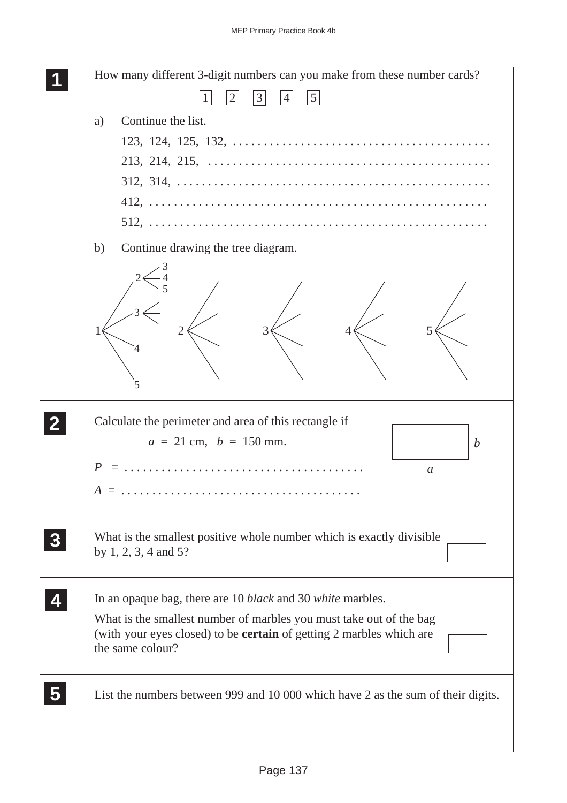|          | How many different 3-digit numbers can you make from these number cards?<br> 3 <br>$\left 2\right $<br> 4 <br> 5                                                                                                                                   |
|----------|----------------------------------------------------------------------------------------------------------------------------------------------------------------------------------------------------------------------------------------------------|
|          | Continue the list.<br>a)<br>Continue drawing the tree diagram.<br>b)                                                                                                                                                                               |
|          | 5                                                                                                                                                                                                                                                  |
|          | Calculate the perimeter and area of this rectangle if<br>$a = 21$ cm, $b = 150$ mm.<br>$\boldsymbol{b}$<br>$\boldsymbol{a}$                                                                                                                        |
| $\bf{3}$ | What is the smallest positive whole number which is exactly divisible.<br>by $1, 2, 3, 4$ and $5$ ?                                                                                                                                                |
|          | In an opaque bag, there are 10 <i>black</i> and 30 <i>white</i> marbles.<br>What is the smallest number of marbles you must take out of the bag<br>(with your eyes closed) to be <b>certain</b> of getting 2 marbles which are<br>the same colour? |
|          | List the numbers between 999 and 10 000 which have 2 as the sum of their digits.                                                                                                                                                                   |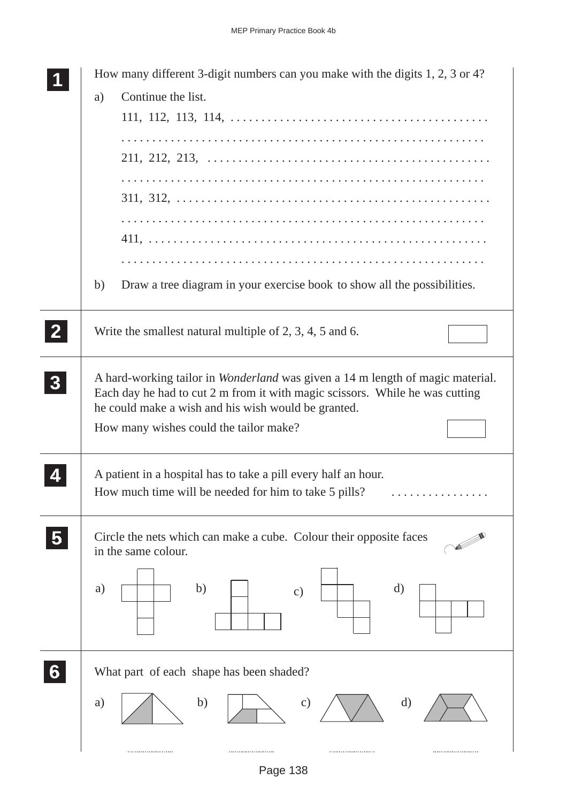|                | How many different 3-digit numbers can you make with the digits 1, 2, 3 or 4?<br>Continue the list.<br>a)                                                                                                                                                              |
|----------------|------------------------------------------------------------------------------------------------------------------------------------------------------------------------------------------------------------------------------------------------------------------------|
|                |                                                                                                                                                                                                                                                                        |
|                |                                                                                                                                                                                                                                                                        |
|                | Draw a tree diagram in your exercise book to show all the possibilities.<br>b)                                                                                                                                                                                         |
| $\mathbf{2}$   | Write the smallest natural multiple of 2, 3, 4, 5 and 6.                                                                                                                                                                                                               |
| 3 <sup>1</sup> | A hard-working tailor in <i>Wonderland</i> was given a 14 m length of magic material.<br>Each day he had to cut 2 m from it with magic scissors. While he was cutting<br>he could make a wish and his wish would be granted.<br>How many wishes could the tailor make? |
|                | A patient in a hospital has to take a pill every half an hour.<br>How much time will be needed for him to take 5 pills?                                                                                                                                                |
|                | Circle the nets which can make a cube. Colour their opposite faces<br>in the same colour.<br>b)<br>d)<br>a)<br>$\mathbf{c})$                                                                                                                                           |
| 6              | What part of each shape has been shaded?<br>d)<br>b)<br>$\mathbf{c})$<br>a)                                                                                                                                                                                            |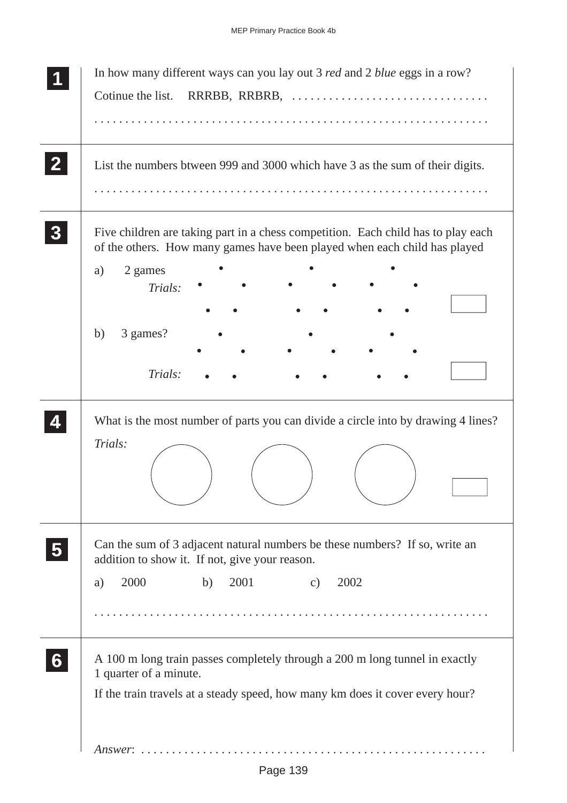| In how many different ways can you lay out 3 <i>red</i> and 2 <i>blue</i> eggs in a row?<br>Cotinue the list.                                                                                                |
|--------------------------------------------------------------------------------------------------------------------------------------------------------------------------------------------------------------|
| List the numbers btween 999 and 3000 which have 3 as the sum of their digits.                                                                                                                                |
| Five children are taking part in a chess competition. Each child has to play each<br>of the others. How many games have been played when each child has played<br>2 games<br>a)<br>Trials:<br>3 games?<br>b) |
| Trials:                                                                                                                                                                                                      |
| What is the most number of parts you can divide a circle into by drawing 4 lines?<br>Trials:                                                                                                                 |
| Can the sum of 3 adjacent natural numbers be these numbers? If so, write an<br>addition to show it. If not, give your reason.                                                                                |
| 2000<br>b)<br>2001<br>2002<br>$\mathbf{c})$<br>a)                                                                                                                                                            |
| A 100 m long train passes completely through a 200 m long tunnel in exactly<br>1 quarter of a minute.<br>If the train travels at a steady speed, how many km does it cover every hour?                       |
| $Answer: \ldots \ldots$                                                                                                                                                                                      |